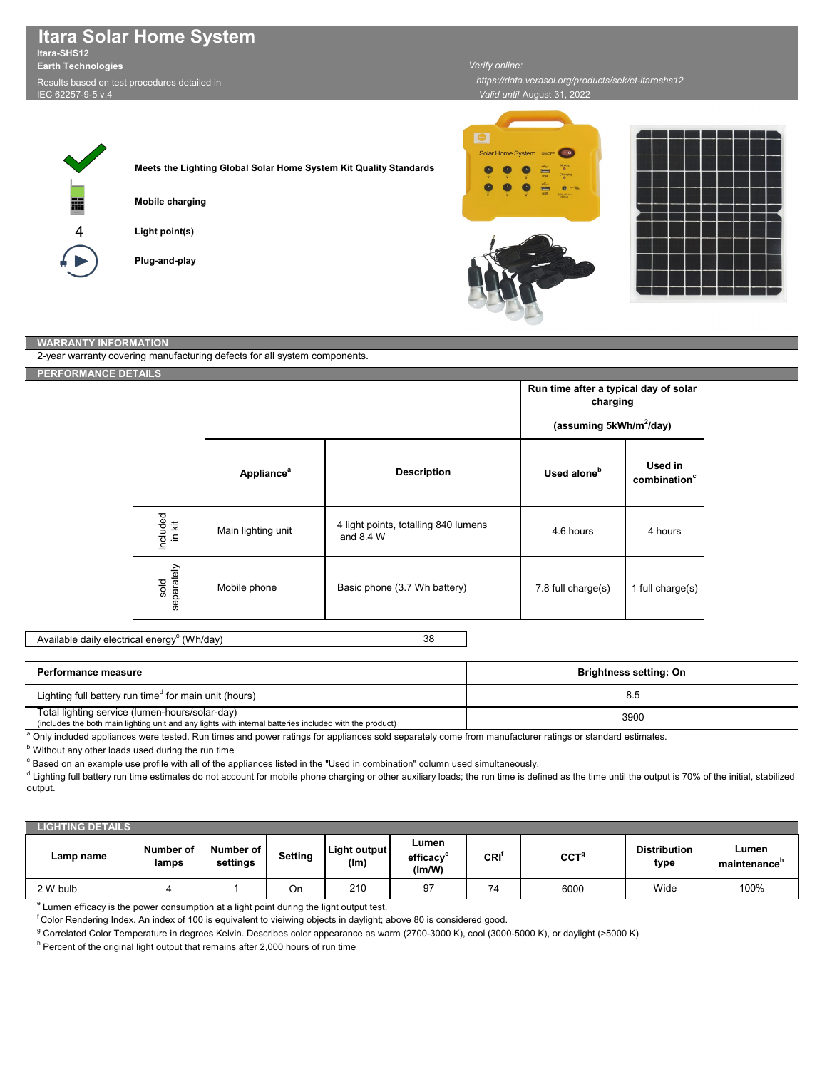**Itara Solar Home System Itara-SHS12**

**Earth Technologies**

IEC 62257-9-5 v.4

Results based on test procedures detailed in

*Valid until:*August 31, 2022  *https://data.verasol.org/products/sek/et-itarashs12*

4

**Meets the Lighting Global Solar Home System Kit Quality Standards Mobile charging**

**Light point(s)**

**Plug-and-play**





## **WARRANTY INFORMATION**

|                     |                    | 2-year warranty covering manufacturing defects for all system components. |                                                     |                                                                                          |                                     |  |
|---------------------|--------------------|---------------------------------------------------------------------------|-----------------------------------------------------|------------------------------------------------------------------------------------------|-------------------------------------|--|
| PERFORMANCE DETAILS |                    |                                                                           |                                                     |                                                                                          |                                     |  |
|                     |                    |                                                                           |                                                     | Run time after a typical day of solar<br>charging<br>(assuming 5kWh/m <sup>2</sup> /day) |                                     |  |
|                     |                    | <b>Appliance<sup>a</sup></b>                                              | <b>Description</b>                                  | Used alone <sup>b</sup>                                                                  | Used in<br>combination <sup>c</sup> |  |
|                     | included<br>in kit | Main lighting unit                                                        | 4 light points, totalling 840 lumens<br>and $8.4 W$ | 4.6 hours                                                                                | 4 hours                             |  |
|                     | sold<br>separately | Mobile phone                                                              | Basic phone (3.7 Wh battery)                        | 7.8 full charge(s)                                                                       | 1 full charge(s)                    |  |

Available daily electrical energy $\mathrm{^c}$  (Wh/day)

| Performance measure                                                                                                                                       | Brightness setting: On |
|-----------------------------------------------------------------------------------------------------------------------------------------------------------|------------------------|
| Lighting full battery run time <sup>d</sup> for main unit (hours)                                                                                         | 8.5                    |
| Total lighting service (lumen-hours/solar-day)<br>(includes the both main lighting unit and any lights with internal batteries included with the product) | 3900                   |

38

<sup>a</sup> Only included appliances were tested. Run times and power ratings for appliances sold separately come from manufacturer ratings or standard estimates.

 $^{\rm b}$  Without any other loads used during the run time

 $^\circ$  Based on an example use profile with all of the appliances listed in the "Used in combination" column used simultaneously.

<sup>d</sup> Lighting full battery run time estimates do not account for mobile phone charging or other auxiliary loads; the run time is defined as the time until the output is 70% of the initial, stabilized output.

| LIGHTING DETAILS |                    |                       |         |                      |                                                            |                  |                  |                             |                       |
|------------------|--------------------|-----------------------|---------|----------------------|------------------------------------------------------------|------------------|------------------|-----------------------------|-----------------------|
| Lamp name        | Number of<br>lamps | Number of<br>settings | Setting | Light output<br>(lm) | Lumen<br>efficacv"<br>$\langle \text{Im}/\text{W} \rangle$ | CRI <sup>†</sup> | CCT <sup>9</sup> | <b>Distribution</b><br>type | Lumen<br>maintenance" |
| 2 W bulb         |                    |                       | On      | 210                  | 97                                                         | 74               | 6000             | Wide                        | 100%                  |

<sup>e</sup> Lumen efficacy is the power consumption at a light point during the light output test.

 ${}^{\text{f}}$ Color Rendering Index. An index of 100 is equivalent to vieiwing objects in daylight; above 80 is considered good.

<sup>g</sup> Correlated Color Temperature in degrees Kelvin. Describes color appearance as warm (2700-3000 K), cool (3000-5000 K), or daylight (>5000 K)

<sup>h</sup> Percent of the original light output that remains after 2,000 hours of run time